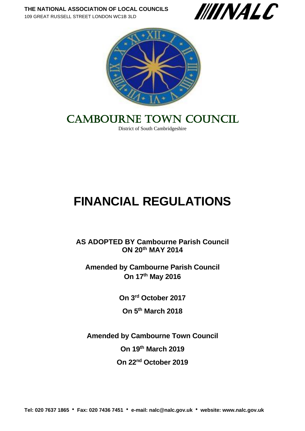



# CAMBOURNE TOWN COUNCIL

District of South Cambridgeshire

# **FINANCIAL REGULATIONS**

**AS ADOPTED BY Cambourne Parish Council ON 20th MAY 2014**

**Amended by Cambourne Parish Council On 17th May 2016**

**On 3 rd October 2017**

**On 5th March 2018**

**Amended by Cambourne Town Council On 19th March 2019 On 22nd October 2019**

**Tel: 020 7637 1865 Fax: 020 7436 7451 e-mail: [nalc@nalc.gov.uk](mailto:nalc@nalc.gov.uk) website: www.nalc.gov.uk**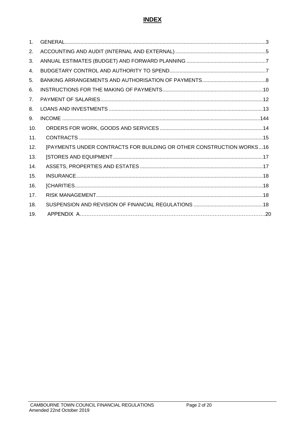#### **INDEX**

| 1 <sub>1</sub>  |                                                                       |
|-----------------|-----------------------------------------------------------------------|
| 2.              |                                                                       |
| 3.              |                                                                       |
| 4.              |                                                                       |
| 5.              |                                                                       |
| 6.              |                                                                       |
| 7.              |                                                                       |
| 8.              |                                                                       |
| 9.              |                                                                       |
| 10.             |                                                                       |
| 11.             |                                                                       |
| 12.             | [PAYMENTS UNDER CONTRACTS FOR BUILDING OR OTHER CONSTRUCTION WORKS 16 |
| 13.             |                                                                       |
| 14.             |                                                                       |
| 15.             |                                                                       |
| 16.             |                                                                       |
| 17 <sub>1</sub> |                                                                       |
| 18.             |                                                                       |
| 19.             |                                                                       |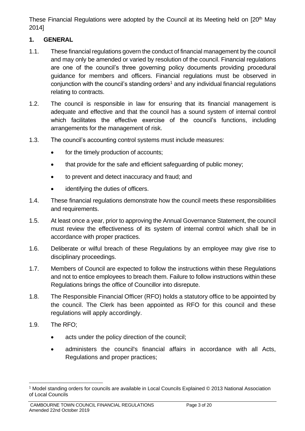These Financial Regulations were adopted by the Council at its Meeting held on [20<sup>th</sup> May 2014]

#### <span id="page-2-0"></span>**1. GENERAL**

- 1.1. These financial regulations govern the conduct of financial management by the council and may only be amended or varied by resolution of the council. Financial regulations are one of the council's three governing policy documents providing procedural guidance for members and officers. Financial regulations must be observed in conjunction with the council's standing orders<sup>1</sup> and any individual financial regulations relating to contracts.
- 1.2. The council is responsible in law for ensuring that its financial management is adequate and effective and that the council has a sound system of internal control which facilitates the effective exercise of the council's functions, including arrangements for the management of risk.
- 1.3. The council's accounting control systems must include measures:
	- for the timely production of accounts;
	- that provide for the safe and efficient safeguarding of public money;
	- to prevent and detect inaccuracy and fraud; and
	- identifying the duties of officers.
- 1.4. These financial regulations demonstrate how the council meets these responsibilities and requirements.
- 1.5. At least once a year, prior to approving the Annual Governance Statement, the council must review the effectiveness of its system of internal control which shall be in accordance with proper practices.
- 1.6. Deliberate or wilful breach of these Regulations by an employee may give rise to disciplinary proceedings.
- 1.7. Members of Council are expected to follow the instructions within these Regulations and not to entice employees to breach them. Failure to follow instructions within these Regulations brings the office of Councillor into disrepute.
- 1.8. The Responsible Financial Officer (RFO) holds a statutory office to be appointed by the council. The Clerk has been appointed as RFO for this council and these regulations will apply accordingly.
- 1.9. The RFO;
	- acts under the policy direction of the council;
	- administers the council's financial affairs in accordance with all Acts, Regulations and proper practices;

<sup>1</sup> Model standing orders for councils are available in Local Councils Explained © 2013 National Association of Local Councils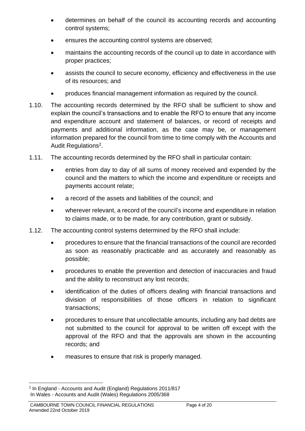- determines on behalf of the council its accounting records and accounting control systems;
- ensures the accounting control systems are observed;
- maintains the accounting records of the council up to date in accordance with proper practices;
- assists the council to secure economy, efficiency and effectiveness in the use of its resources; and
- produces financial management information as required by the council.
- 1.10. The accounting records determined by the RFO shall be sufficient to show and explain the council's transactions and to enable the RFO to ensure that any income and expenditure account and statement of balances, or record of receipts and payments and additional information, as the case may be, or management information prepared for the council from time to time comply with the Accounts and Audit Regulations<sup>2</sup>.
- 1.11. The accounting records determined by the RFO shall in particular contain:
	- entries from day to day of all sums of money received and expended by the council and the matters to which the income and expenditure or receipts and payments account relate;
	- a record of the assets and liabilities of the council; and
	- wherever relevant, a record of the council's income and expenditure in relation to claims made, or to be made, for any contribution, grant or subsidy.
- 1.12. The accounting control systems determined by the RFO shall include:
	- procedures to ensure that the financial transactions of the council are recorded as soon as reasonably practicable and as accurately and reasonably as possible;
	- procedures to enable the prevention and detection of inaccuracies and fraud and the ability to reconstruct any lost records;
	- identification of the duties of officers dealing with financial transactions and division of responsibilities of those officers in relation to significant transactions;
	- procedures to ensure that uncollectable amounts, including any bad debts are not submitted to the council for approval to be written off except with the approval of the RFO and that the approvals are shown in the accounting records; and
	- measures to ensure that risk is properly managed.

<sup>&</sup>lt;sup>2</sup> In England - Accounts and Audit (England) Regulations 2011/817 In Wales - Accounts and Audit (Wales) Regulations 2005/368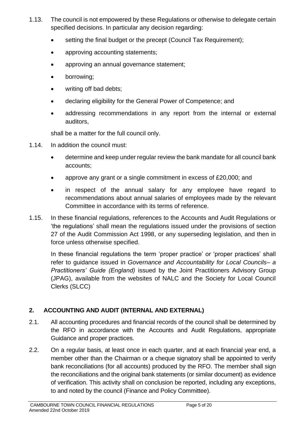- 1.13. The council is not empowered by these Regulations or otherwise to delegate certain specified decisions. In particular any decision regarding:
	- setting the final budget or the precept (Council Tax Requirement);
	- approving accounting statements;
	- approving an annual governance statement;
	- borrowing:
	- writing off bad debts;
	- declaring eligibility for the General Power of Competence; and
	- addressing recommendations in any report from the internal or external auditors,

shall be a matter for the full council only.

- 1.14. In addition the council must:
	- determine and keep under regular review the bank mandate for all council bank accounts;
	- approve any grant or a single commitment in excess of £20,000; and
	- in respect of the annual salary for any employee have regard to recommendations about annual salaries of employees made by the relevant Committee in accordance with its terms of reference.
- 1.15. In these financial regulations, references to the Accounts and Audit Regulations or 'the regulations' shall mean the regulations issued under the provisions of section 27 of the Audit Commission Act 1998, or any superseding legislation, and then in force unless otherwise specified.

In these financial regulations the term 'proper practice' or 'proper practices' shall refer to guidance issued in *Governance and Accountability for Local Councils– a Practitioners' Guide (England)* issued by the Joint Practitioners Advisory Group (JPAG), available from the websites of NALC and the Society for Local Council Clerks (SLCC)

# <span id="page-4-0"></span>**2. ACCOUNTING AND AUDIT (INTERNAL AND EXTERNAL)**

- 2.1. All accounting procedures and financial records of the council shall be determined by the RFO in accordance with the Accounts and Audit Regulations, appropriate Guidance and proper practices.
- 2.2. On a regular basis, at least once in each quarter, and at each financial year end, a member other than the Chairman or a cheque signatory shall be appointed to verify bank reconciliations (for all accounts) produced by the RFO. The member shall sign the reconciliations and the original bank statements (or similar document) as evidence of verification. This activity shall on conclusion be reported, including any exceptions, to and noted by the council (Finance and Policy Committee).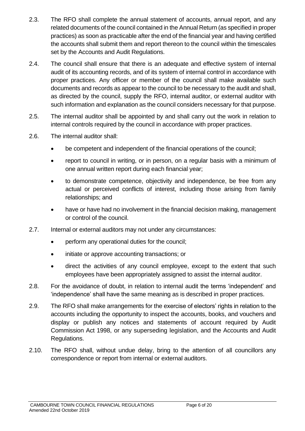- 2.3. The RFO shall complete the annual statement of accounts, annual report, and any related documents of the council contained in the Annual Return (as specified in proper practices) as soon as practicable after the end of the financial year and having certified the accounts shall submit them and report thereon to the council within the timescales set by the Accounts and Audit Regulations.
- 2.4. The council shall ensure that there is an adequate and effective system of internal audit of its accounting records, and of its system of internal control in accordance with proper practices. Any officer or member of the council shall make available such documents and records as appear to the council to be necessary to the audit and shall, as directed by the council, supply the RFO, internal auditor, or external auditor with such information and explanation as the council considers necessary for that purpose.
- 2.5. The internal auditor shall be appointed by and shall carry out the work in relation to internal controls required by the council in accordance with proper practices.
- 2.6. The internal auditor shall:
	- be competent and independent of the financial operations of the council;
	- report to council in writing, or in person, on a regular basis with a minimum of one annual written report during each financial year;
	- to demonstrate competence, objectivity and independence, be free from any actual or perceived conflicts of interest, including those arising from family relationships; and
	- have or have had no involvement in the financial decision making, management or control of the council.
- 2.7. Internal or external auditors may not under any circumstances:
	- perform any operational duties for the council;
	- initiate or approve accounting transactions; or
	- direct the activities of any council employee, except to the extent that such employees have been appropriately assigned to assist the internal auditor.
- 2.8. For the avoidance of doubt, in relation to internal audit the terms 'independent' and 'independence' shall have the same meaning as is described in proper practices.
- 2.9. The RFO shall make arrangements for the exercise of electors' rights in relation to the accounts including the opportunity to inspect the accounts, books, and vouchers and display or publish any notices and statements of account required by Audit Commission Act 1998, or any superseding legislation, and the Accounts and Audit Regulations.
- 2.10. The RFO shall, without undue delay, bring to the attention of all councillors any correspondence or report from internal or external auditors.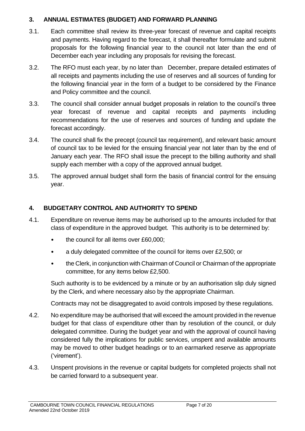#### <span id="page-6-0"></span>**3. ANNUAL ESTIMATES (BUDGET) AND FORWARD PLANNING**

- 3.1. Each committee shall review its three-year forecast of revenue and capital receipts and payments. Having regard to the forecast, it shall thereafter formulate and submit proposals for the following financial year to the council not later than the end of December each year including any proposals for revising the forecast.
- 3.2. The RFO must each year, by no later than December, prepare detailed estimates of all receipts and payments including the use of reserves and all sources of funding for the following financial year in the form of a budget to be considered by the Finance and Policy committee and the council.
- 3.3. The council shall consider annual budget proposals in relation to the council's three year forecast of revenue and capital receipts and payments including recommendations for the use of reserves and sources of funding and update the forecast accordingly.
- 3.4. The council shall fix the precept (council tax requirement), and relevant basic amount of council tax to be levied for the ensuing financial year not later than by the end of January each year. The RFO shall issue the precept to the billing authority and shall supply each member with a copy of the approved annual budget.
- 3.5. The approved annual budget shall form the basis of financial control for the ensuing year.

#### <span id="page-6-1"></span>**4. BUDGETARY CONTROL AND AUTHORITY TO SPEND**

- 4.1. Expenditure on revenue items may be authorised up to the amounts included for that class of expenditure in the approved budget. This authority is to be determined by:
	- the council for all items over £60,000;
	- a duly delegated committee of the council for items over £2,500; or
	- the Clerk, in conjunction with Chairman of Council or Chairman of the appropriate committee, for any items below £2,500.

Such authority is to be evidenced by a minute or by an authorisation slip duly signed by the Clerk, and where necessary also by the appropriate Chairman.

Contracts may not be disaggregated to avoid controls imposed by these regulations.

- 4.2. No expenditure may be authorised that will exceed the amount provided in the revenue budget for that class of expenditure other than by resolution of the council, or duly delegated committee. During the budget year and with the approval of council having considered fully the implications for public services, unspent and available amounts may be moved to other budget headings or to an earmarked reserve as appropriate ('virement').
- 4.3. Unspent provisions in the revenue or capital budgets for completed projects shall not be carried forward to a subsequent year.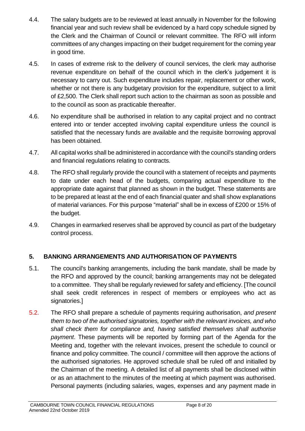- 4.4. The salary budgets are to be reviewed at least annually in November for the following financial year and such review shall be evidenced by a hard copy schedule signed by the Clerk and the Chairman of Council or relevant committee. The RFO will inform committees of any changes impacting on their budget requirement for the coming year in good time.
- 4.5. In cases of extreme risk to the delivery of council services, the clerk may authorise revenue expenditure on behalf of the council which in the clerk's judgement it is necessary to carry out. Such expenditure includes repair, replacement or other work, whether or not there is any budgetary provision for the expenditure, subject to a limit of £2,500. The Clerk shall report such action to the chairman as soon as possible and to the council as soon as practicable thereafter.
- 4.6. No expenditure shall be authorised in relation to any capital project and no contract entered into or tender accepted involving capital expenditure unless the council is satisfied that the necessary funds are available and the requisite borrowing approval has been obtained.
- 4.7. All capital works shall be administered in accordance with the council's standing orders and financial regulations relating to contracts.
- 4.8. The RFO shall regularly provide the council with a statement of receipts and payments to date under each head of the budgets, comparing actual expenditure to the appropriate date against that planned as shown in the budget. These statements are to be prepared at least at the end of each financial quater and shall show explanations of material variances. For this purpose "material" shall be in excess of £200 or 15% of the budget.
- 4.9. Changes in earmarked reserves shall be approved by council as part of the budgetary control process.

# <span id="page-7-0"></span>**5. BANKING ARRANGEMENTS AND AUTHORISATION OF PAYMENTS**

- 5.1. The council's banking arrangements, including the bank mandate, shall be made by the RFO and approved by the council; banking arrangements may not be delegated to a committee. They shall be regularly reviewed for safety and efficiency. [The council shall seek credit references in respect of members or employees who act as signatories.]
- 5.2. The RFO shall prepare a schedule of payments requiring authorisation, *and present them to two of the authorised signatories, together with the relevant invoices, and who shall check them for compliance and, having satisfied themselves shall authorise payment*. These payments will be reported by forming part of the Agenda for the Meeting and, together with the relevant invoices, present the schedule to council or finance and policy committee. The council / committee will then approve the actions of the authorised signatories. He approved schedule shall be ruled off and initialled by the Chairman of the meeting. A detailed list of all payments shall be disclosed within or as an attachment to the minutes of the meeting at which payment was authorised. Personal payments (including salaries, wages, expenses and any payment made in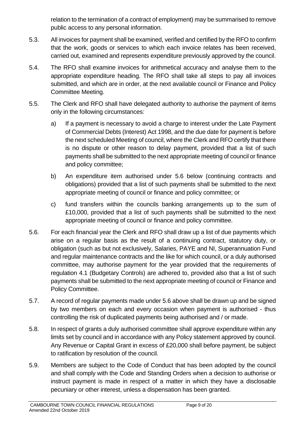relation to the termination of a contract of employment) may be summarised to remove public access to any personal information.

- 5.3. All invoices for payment shall be examined, verified and certified by the RFO to confirm that the work, goods or services to which each invoice relates has been received, carried out, examined and represents expenditure previously approved by the council.
- 5.4. The RFO shall examine invoices for arithmetical accuracy and analyse them to the appropriate expenditure heading. The RFO shall take all steps to pay all invoices submitted, and which are in order, at the next available council or Finance and Policy Committee Meeting.
- 5.5. The Clerk and RFO shall have delegated authority to authorise the payment of items only in the following circumstances:
	- a) If a payment is necessary to avoid a charge to interest under the Late Payment of Commercial Debts (Interest) Act 1998, and the due date for payment is before the next scheduled Meeting of council, where the Clerk and RFO certify that there is no dispute or other reason to delay payment, provided that a list of such payments shall be submitted to the next appropriate meeting of council or finance and policy committee;
	- b) An expenditure item authorised under 5.6 below (continuing contracts and obligations) provided that a list of such payments shall be submitted to the next appropriate meeting of council or finance and policy committee; or
	- c) fund transfers within the councils banking arrangements up to the sum of £10,000, provided that a list of such payments shall be submitted to the next appropriate meeting of council or finance and policy committee.
- 5.6. For each financial year the Clerk and RFO shall draw up a list of due payments which arise on a regular basis as the result of a continuing contract, statutory duty, or obligation (such as but not exclusively, Salaries, PAYE and NI, Superannuation Fund and regular maintenance contracts and the like for which council, or a duly authorised committee, may authorise payment for the year provided that the requirements of regulation 4.1 (Budgetary Controls) are adhered to, provided also that a list of such payments shall be submitted to the next appropriate meeting of council or Finance and Policy Committee.
- 5.7. A record of regular payments made under 5.6 above shall be drawn up and be signed by two members on each and every occasion when payment is authorised - thus controlling the risk of duplicated payments being authorised and / or made.
- 5.8. In respect of grants a duly authorised committee shall approve expenditure within any limits set by council and in accordance with any Policy statement approved by council. Any Revenue or Capital Grant in excess of £20,000 shall before payment, be subject to ratification by resolution of the council.
- 5.9. Members are subject to the Code of Conduct that has been adopted by the council and shall comply with the Code and Standing Orders when a decision to authorise or instruct payment is made in respect of a matter in which they have a disclosable pecuniary or other interest, unless a dispensation has been granted.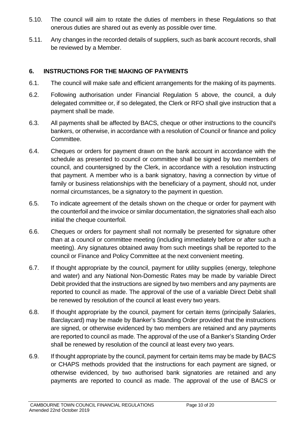- 5.10. The council will aim to rotate the duties of members in these Regulations so that onerous duties are shared out as evenly as possible over time.
- 5.11. Any changes in the recorded details of suppliers, such as bank account records, shall be reviewed by a Member.

#### <span id="page-9-0"></span>**6. INSTRUCTIONS FOR THE MAKING OF PAYMENTS**

- 6.1. The council will make safe and efficient arrangements for the making of its payments.
- 6.2. Following authorisation under Financial Regulation 5 above, the council, a duly delegated committee or, if so delegated, the Clerk or RFO shall give instruction that a payment shall be made.
- 6.3. All payments shall be affected by BACS, cheque or other instructions to the council's bankers, or otherwise, in accordance with a resolution of Council or finance and policy Committee.
- 6.4. Cheques or orders for payment drawn on the bank account in accordance with the schedule as presented to council or committee shall be signed by two members of council, and countersigned by the Clerk, in accordance with a resolution instructing that payment. A member who is a bank signatory, having a connection by virtue of family or business relationships with the beneficiary of a payment, should not, under normal circumstances, be a signatory to the payment in question.
- 6.5. To indicate agreement of the details shown on the cheque or order for payment with the counterfoil and the invoice or similar documentation, the signatories shall each also initial the cheque counterfoil.
- 6.6. Cheques or orders for payment shall not normally be presented for signature other than at a council or committee meeting (including immediately before or after such a meeting). Any signatures obtained away from such meetings shall be reported to the council or Finance and Policy Committee at the next convenient meeting.
- 6.7. If thought appropriate by the council, payment for utility supplies (energy, telephone and water) and any National Non-Domestic Rates may be made by variable Direct Debit provided that the instructions are signed by two members and any payments are reported to council as made. The approval of the use of a variable Direct Debit shall be renewed by resolution of the council at least every two years.
- 6.8. If thought appropriate by the council, payment for certain items (principally Salaries, Barclaycard) may be made by Banker's Standing Order provided that the instructions are signed, or otherwise evidenced by two members are retained and any payments are reported to council as made. The approval of the use of a Banker's Standing Order shall be renewed by resolution of the council at least every two years.
- 6.9. If thought appropriate by the council, payment for certain items may be made by BACS or CHAPS methods provided that the instructions for each payment are signed, or otherwise evidenced, by two authorised bank signatories are retained and any payments are reported to council as made. The approval of the use of BACS or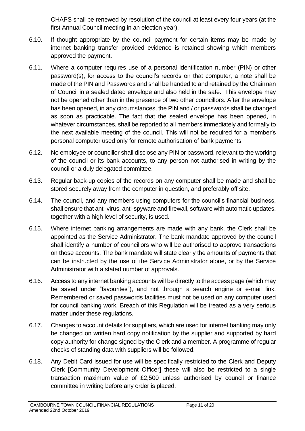CHAPS shall be renewed by resolution of the council at least every four years (at the first Annual Council meeting in an election year).

- 6.10. If thought appropriate by the council payment for certain items may be made by internet banking transfer provided evidence is retained showing which members approved the payment.
- 6.11. Where a computer requires use of a personal identification number (PIN) or other password(s), for access to the council's records on that computer, a note shall be made of the PIN and Passwords and shall be handed to and retained by the Chairman of Council in a sealed dated envelope and also held in the safe. This envelope may not be opened other than in the presence of two other councillors. After the envelope has been opened, in any circumstances, the PIN and / or passwords shall be changed as soon as practicable. The fact that the sealed envelope has been opened, in whatever circumstances, shall be reported to all members immediately and formally to the next available meeting of the council. This will not be required for a member's personal computer used only for remote authorisation of bank payments.
- 6.12. No employee or councillor shall disclose any PIN or password, relevant to the working of the council or its bank accounts, to any person not authorised in writing by the council or a duly delegated committee.
- 6.13. Regular back-up copies of the records on any computer shall be made and shall be stored securely away from the computer in question, and preferably off site.
- 6.14. The council, and any members using computers for the council's financial business, shall ensure that anti-virus, anti-spyware and firewall, software with automatic updates, together with a high level of security, is used.
- 6.15. Where internet banking arrangements are made with any bank, the Clerk shall be appointed as the Service Administrator. The bank mandate approved by the council shall identify a number of councillors who will be authorised to approve transactions on those accounts. The bank mandate will state clearly the amounts of payments that can be instructed by the use of the Service Administrator alone, or by the Service Administrator with a stated number of approvals.
- 6.16. Access to any internet banking accounts will be directly to the access page (which may be saved under "favourites"), and not through a search engine or e-mail link. Remembered or saved passwords facilities must not be used on any computer used for council banking work. Breach of this Regulation will be treated as a very serious matter under these regulations.
- 6.17. Changes to account details for suppliers, which are used for internet banking may only be changed on written hard copy notification by the supplier and supported by hard copy authority for change signed by the Clerk and a member. A programme of regular checks of standing data with suppliers will be followed.
- 6.18. Any Debit Card issued for use will be specifically restricted to the Clerk and Deputy Clerk [Community Development Officer] these will also be restricted to a single transaction maximum value of £2,500 unless authorised by council or finance committee in writing before any order is placed.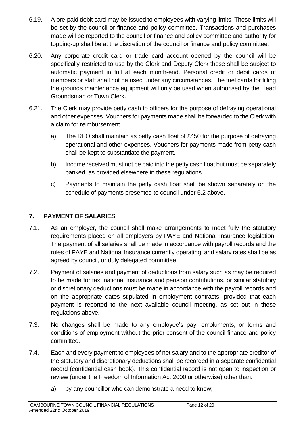- 6.19. A pre-paid debit card may be issued to employees with varying limits. These limits will be set by the council or finance and policy committee. Transactions and purchases made will be reported to the council or finance and policy committee and authority for topping-up shall be at the discretion of the council or finance and policy committee.
- 6.20. Any corporate credit card or trade card account opened by the council will be specifically restricted to use by the Clerk and Deputy Clerk these shall be subject to automatic payment in full at each month-end. Personal credit or debit cards of members or staff shall not be used under any circumstances. The fuel cards for filling the grounds maintenance equipment will only be used when authorised by the Head Groundsman or Town Clerk.
- 6.21. The Clerk may provide petty cash to officers for the purpose of defraying operational and other expenses. Vouchers for payments made shall be forwarded to the Clerk with a claim for reimbursement.
	- a) The RFO shall maintain as petty cash float of £450 for the purpose of defraying operational and other expenses. Vouchers for payments made from petty cash shall be kept to substantiate the payment.
	- b) Income received must not be paid into the petty cash float but must be separately banked, as provided elsewhere in these regulations.
	- c) Payments to maintain the petty cash float shall be shown separately on the schedule of payments presented to council under 5.2 above.

## <span id="page-11-0"></span>**7. PAYMENT OF SALARIES**

- 7.1. As an employer, the council shall make arrangements to meet fully the statutory requirements placed on all employers by PAYE and National Insurance legislation. The payment of all salaries shall be made in accordance with payroll records and the rules of PAYE and National Insurance currently operating, and salary rates shall be as agreed by council, or duly delegated committee.
- 7.2. Payment of salaries and payment of deductions from salary such as may be required to be made for tax, national insurance and pension contributions, or similar statutory or discretionary deductions must be made in accordance with the payroll records and on the appropriate dates stipulated in employment contracts, provided that each payment is reported to the next available council meeting, as set out in these regulations above.
- 7.3. No changes shall be made to any employee's pay, emoluments, or terms and conditions of employment without the prior consent of the council finance and policy committee.
- 7.4. Each and every payment to employees of net salary and to the appropriate creditor of the statutory and discretionary deductions shall be recorded in a separate confidential record (confidential cash book). This confidential record is not open to inspection or review (under the Freedom of Information Act 2000 or otherwise) other than:
	- a) by any councillor who can demonstrate a need to know;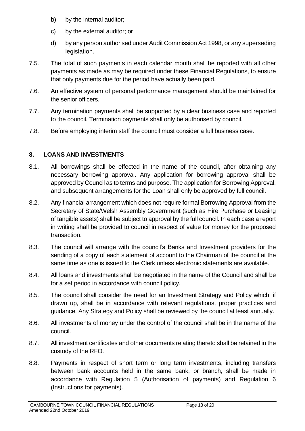- b) by the internal auditor;
- c) by the external auditor; or
- d) by any person authorised under Audit Commission Act 1998, or any superseding legislation.
- 7.5. The total of such payments in each calendar month shall be reported with all other payments as made as may be required under these Financial Regulations, to ensure that only payments due for the period have actually been paid.
- 7.6. An effective system of personal performance management should be maintained for the senior officers.
- 7.7. Any termination payments shall be supported by a clear business case and reported to the council. Termination payments shall only be authorised by council.
- 7.8. Before employing interim staff the council must consider a full business case.

# <span id="page-12-0"></span>**8. LOANS AND INVESTMENTS**

- 8.1. All borrowings shall be effected in the name of the council, after obtaining any necessary borrowing approval. Any application for borrowing approval shall be approved by Council as to terms and purpose. The application for Borrowing Approval, and subsequent arrangements for the Loan shall only be approved by full council.
- 8.2. Any financial arrangement which does not require formal Borrowing Approval from the Secretary of State/Welsh Assembly Government (such as Hire Purchase or Leasing of tangible assets) shall be subject to approval by the full council. In each case a report in writing shall be provided to council in respect of value for money for the proposed transaction.
- 8.3. The council will arrange with the council's Banks and Investment providers for the sending of a copy of each statement of account to the Chairman of the council at the same time as one is issued to the Clerk unless electronic statements are available.
- 8.4. All loans and investments shall be negotiated in the name of the Council and shall be for a set period in accordance with council policy.
- 8.5. The council shall consider the need for an Investment Strategy and Policy which, if drawn up, shall be in accordance with relevant regulations, proper practices and guidance. Any Strategy and Policy shall be reviewed by the council at least annually.
- 8.6. All investments of money under the control of the council shall be in the name of the council.
- 8.7. All investment certificates and other documents relating thereto shall be retained in the custody of the RFO.
- 8.8. Payments in respect of short term or long term investments, including transfers between bank accounts held in the same bank, or branch, shall be made in accordance with Regulation 5 (Authorisation of payments) and Regulation 6 (Instructions for payments).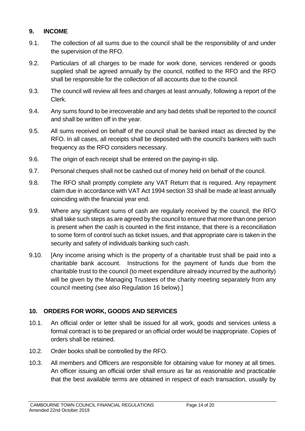#### <span id="page-13-0"></span>**9. INCOME**

- 9.1. The collection of all sums due to the council shall be the responsibility of and under the supervision of the RFO.
- 9.2. Particulars of all charges to be made for work done, services rendered or goods supplied shall be agreed annually by the council, notified to the RFO and the RFO shall be responsible for the collection of all accounts due to the council.
- 9.3. The council will review all fees and charges at least annually, following a report of the Clerk.
- 9.4. Any sums found to be irrecoverable and any bad debts shall be reported to the council and shall be written off in the year.
- 9.5. All sums received on behalf of the council shall be banked intact as directed by the RFO. In all cases, all receipts shall be deposited with the council's bankers with such frequency as the RFO considers necessary.
- 9.6. The origin of each receipt shall be entered on the paying-in slip.
- 9.7. Personal cheques shall not be cashed out of money held on behalf of the council.
- 9.8. The RFO shall promptly complete any VAT Return that is required. Any repayment claim due in accordance with VAT Act 1994 section 33 shall be made at least annually coinciding with the financial year end.
- 9.9. Where any significant sums of cash are regularly received by the council, the RFO shall take such steps as are agreed by the council to ensure that more than one person is present when the cash is counted in the first instance, that there is a reconciliation to some form of control such as ticket issues, and that appropriate care is taken in the security and safety of individuals banking such cash.
- 9.10. IAny income arising which is the property of a charitable trust shall be paid into a charitable bank account. Instructions for the payment of funds due from the charitable trust to the council (to meet expenditure already incurred by the authority) will be given by the Managing Trustees of the charity meeting separately from any council meeting (see also Regulation 16 below).]

#### <span id="page-13-1"></span>**10. ORDERS FOR WORK, GOODS AND SERVICES**

- 10.1. An official order or letter shall be issued for all work, goods and services unless a formal contract is to be prepared or an official order would be inappropriate. Copies of orders shall be retained.
- 10.2. Order books shall be controlled by the RFO.
- 10.3. All members and Officers are responsible for obtaining value for money at all times. An officer issuing an official order shall ensure as far as reasonable and practicable that the best available terms are obtained in respect of each transaction, usually by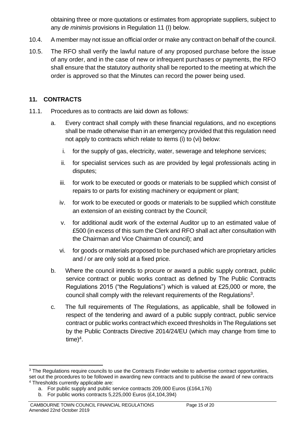obtaining three or more quotations or estimates from appropriate suppliers, subject to any *de minimis* provisions in Regulation 11 (I) below.

- 10.4. A member may not issue an official order or make any contract on behalf of the council.
- 10.5. The RFO shall verify the lawful nature of any proposed purchase before the issue of any order, and in the case of new or infrequent purchases or payments, the RFO shall ensure that the statutory authority shall be reported to the meeting at which the order is approved so that the Minutes can record the power being used.

#### <span id="page-14-0"></span>**11. CONTRACTS**

- 11.1. Procedures as to contracts are laid down as follows:
	- a. Every contract shall comply with these financial regulations, and no exceptions shall be made otherwise than in an emergency provided that this regulation need not apply to contracts which relate to items (i) to (vi) below:
		- i. for the supply of gas, electricity, water, sewerage and telephone services;
		- ii. for specialist services such as are provided by legal professionals acting in disputes;
		- iii. for work to be executed or goods or materials to be supplied which consist of repairs to or parts for existing machinery or equipment or plant;
		- iv. for work to be executed or goods or materials to be supplied which constitute an extension of an existing contract by the Council;
		- v. for additional audit work of the external Auditor up to an estimated value of £500 (in excess of this sum the Clerk and RFO shall act after consultation with the Chairman and Vice Chairman of council); and
		- vi. for goods or materials proposed to be purchased which are proprietary articles and / or are only sold at a fixed price.
	- b. Where the council intends to procure or award a public supply contract, public service contract or public works contract as defined by The Public Contracts Regulations 2015 ("the Regulations") which is valued at £25,000 or more, the council shall comply with the relevant requirements of the Regulations<sup>3</sup>.
	- c. The full requirements of The Regulations, as applicable, shall be followed in respect of the tendering and award of a public supply contract, public service contract or public works contractwhich exceed thresholds in The Regulations set by the Public Contracts Directive 2014/24/EU (which may change from time to  $time)^4$ .

<sup>&</sup>lt;sup>3</sup> The Regulations require councils to use the Contracts Finder website to advertise contract opportunities,

set out the procedures to be followed in awarding new contracts and to publicise the award of new contracts <sup>4</sup> Thresholds currently applicable are:

a. For public supply and public service contracts 209,000 Euros (£164,176)

b. For public works contracts 5,225,000 Euros (£4,104,394)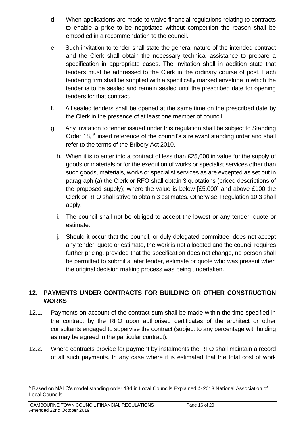- d. When applications are made to waive financial regulations relating to contracts to enable a price to be negotiated without competition the reason shall be embodied in a recommendation to the council.
- e. Such invitation to tender shall state the general nature of the intended contract and the Clerk shall obtain the necessary technical assistance to prepare a specification in appropriate cases. The invitation shall in addition state that tenders must be addressed to the Clerk in the ordinary course of post. Each tendering firm shall be supplied with a specifically marked envelope in which the tender is to be sealed and remain sealed until the prescribed date for opening tenders for that contract.
- f. All sealed tenders shall be opened at the same time on the prescribed date by the Clerk in the presence of at least one member of council.
- g. Any invitation to tender issued under this regulation shall be subject to Standing Order 18, <sup>5</sup> insert reference of the council's s relevant standing order and shall refer to the terms of the Bribery Act 2010.
	- h. When it is to enter into a contract of less than £25,000 in value for the supply of goods or materials or for the execution of works or specialist services other than such goods, materials, works or specialist services as are excepted as set out in paragraph (a) the Clerk or RFO shall obtain 3 quotations (priced descriptions of the proposed supply); where the value is below [£5,000] and above £100 the Clerk or RFO shall strive to obtain 3 estimates. Otherwise, Regulation 10.3 shall apply.
	- i. The council shall not be obliged to accept the lowest or any tender, quote or estimate.
	- j. Should it occur that the council, or duly delegated committee, does not accept any tender, quote or estimate, the work is not allocated and the council requires further pricing, provided that the specification does not change, no person shall be permitted to submit a later tender, estimate or quote who was present when the original decision making process was being undertaken.

### <span id="page-15-0"></span>**12. PAYMENTS UNDER CONTRACTS FOR BUILDING OR OTHER CONSTRUCTION WORKS**

- 12.1. Payments on account of the contract sum shall be made within the time specified in the contract by the RFO upon authorised certificates of the architect or other consultants engaged to supervise the contract (subject to any percentage withholding as may be agreed in the particular contract).
- 12.2. Where contracts provide for payment by instalments the RFO shall maintain a record of all such payments. In any case where it is estimated that the total cost of work

<sup>5</sup> Based on NALC's model standing order 18d in Local Councils Explained © 2013 National Association of Local Councils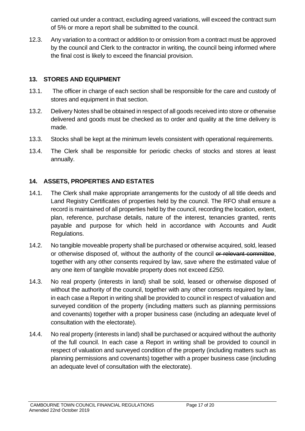carried out under a contract, excluding agreed variations, will exceed the contract sum of 5% or more a report shall be submitted to the council.

12.3. Any variation to a contract or addition to or omission from a contract must be approved by the council and Clerk to the contractor in writing, the council being informed where the final cost is likely to exceed the financial provision.

#### <span id="page-16-0"></span>**13. STORES AND EQUIPMENT**

- 13.1. The officer in charge of each section shall be responsible for the care and custody of stores and equipment in that section.
- 13.2. Delivery Notes shall be obtained in respect of all goods received into store or otherwise delivered and goods must be checked as to order and quality at the time delivery is made.
- 13.3. Stocks shall be kept at the minimum levels consistent with operational requirements.
- 13.4. The Clerk shall be responsible for periodic checks of stocks and stores at least annually.

# <span id="page-16-1"></span>**14. ASSETS, PROPERTIES AND ESTATES**

- 14.1. The Clerk shall make appropriate arrangements for the custody of all title deeds and Land Registry Certificates of properties held by the council. The RFO shall ensure a record is maintained of all properties held by the council, recording the location, extent, plan, reference, purchase details, nature of the interest, tenancies granted, rents payable and purpose for which held in accordance with Accounts and Audit Regulations.
- 14.2. No tangible moveable property shall be purchased or otherwise acquired, sold, leased or otherwise disposed of, without the authority of the council or relevant committee, together with any other consents required by law, save where the estimated value of any one item of tangible movable property does not exceed £250.
- 14.3. No real property (interests in land) shall be sold, leased or otherwise disposed of without the authority of the council, together with any other consents required by law, in each case a Report in writing shall be provided to council in respect of valuation and surveyed condition of the property (including matters such as planning permissions and covenants) together with a proper business case (including an adequate level of consultation with the electorate).
- 14.4. No real property (interests in land) shall be purchased or acquired without the authority of the full council. In each case a Report in writing shall be provided to council in respect of valuation and surveyed condition of the property (including matters such as planning permissions and covenants) together with a proper business case (including an adequate level of consultation with the electorate).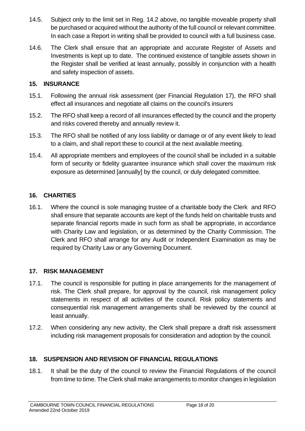- 14.5. Subject only to the limit set in Reg. 14.2 above, no tangible moveable property shall be purchased or acquired without the authority of the full council or relevant committee. In each case a Report in writing shall be provided to council with a full business case.
- 14.6. The Clerk shall ensure that an appropriate and accurate Register of Assets and Investments is kept up to date. The continued existence of tangible assets shown in the Register shall be verified at least annually, possibly in conjunction with a health and safety inspection of assets.

#### <span id="page-17-0"></span>**15. INSURANCE**

- 15.1. Following the annual risk assessment (per Financial Regulation 17), the RFO shall effect all insurances and negotiate all claims on the council's insurers
- 15.2. The RFO shall keep a record of all insurances effected by the council and the property and risks covered thereby and annually review it.
- 15.3. The RFO shall be notified of any loss liability or damage or of any event likely to lead to a claim, and shall report these to council at the next available meeting.
- 15.4. All appropriate members and employees of the council shall be included in a suitable form of security or fidelity guarantee insurance which shall cover the maximum risk exposure as determined [annually] by the council, or duly delegated committee.

#### <span id="page-17-1"></span>**16. CHARITIES**

16.1. Where the council is sole managing trustee of a charitable body the Clerk and RFO shall ensure that separate accounts are kept of the funds held on charitable trusts and separate financial reports made in such form as shall be appropriate, in accordance with Charity Law and legislation, or as determined by the Charity Commission. The Clerk and RFO shall arrange for any Audit or Independent Examination as may be required by Charity Law or any Governing Document.

#### <span id="page-17-2"></span>**17. RISK MANAGEMENT**

- 17.1. The council is responsible for putting in place arrangements for the management of risk. The Clerk shall prepare, for approval by the council, risk management policy statements in respect of all activities of the council. Risk policy statements and consequential risk management arrangements shall be reviewed by the council at least annually.
- 17.2. When considering any new activity, the Clerk shall prepare a draft risk assessment including risk management proposals for consideration and adoption by the council.

#### <span id="page-17-3"></span>**18. SUSPENSION AND REVISION OF FINANCIAL REGULATIONS**

18.1. It shall be the duty of the council to review the Financial Regulations of the council from time to time. The Clerk shall make arrangements to monitor changes in legislation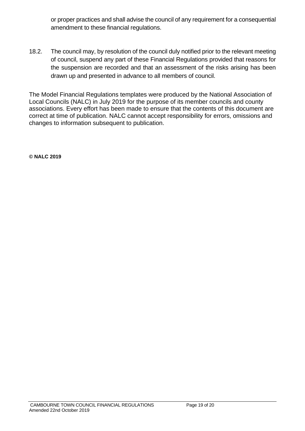or proper practices and shall advise the council of any requirement for a consequential amendment to these financial regulations.

18.2. The council may, by resolution of the council duly notified prior to the relevant meeting of council, suspend any part of these Financial Regulations provided that reasons for the suspension are recorded and that an assessment of the risks arising has been drawn up and presented in advance to all members of council.

The Model Financial Regulations templates were produced by the National Association of Local Councils (NALC) in July 2019 for the purpose of its member councils and county associations. Every effort has been made to ensure that the contents of this document are correct at time of publication. NALC cannot accept responsibility for errors, omissions and changes to information subsequent to publication.

**© NALC 2019**